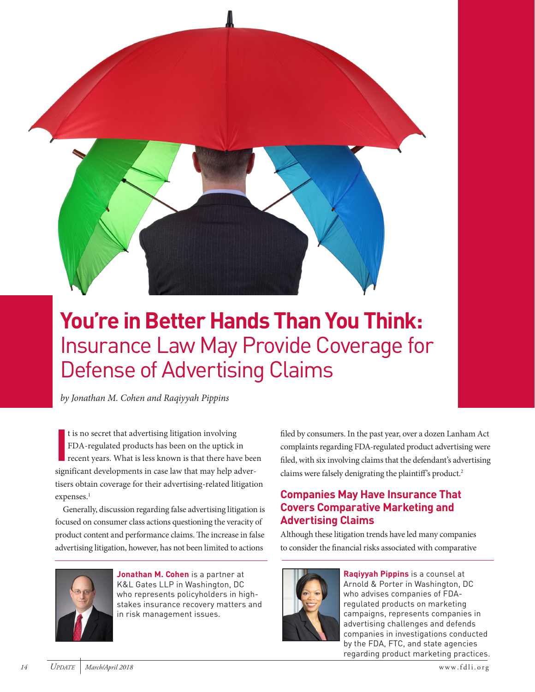

# **You're in Better Hands Than You Think:**  Insurance Law May Provide Coverage for Defense of Advertising Claims

*by Jonathan M. Cohen and Raqiyyah Pippins*

**I** t is no secret that advertising litigation involving FDA-regulated products has been on the uptick in recent years. What is less known is that there have been significant developments in case law that may help advertisers obtain coverage for their advertising-related litigation expenses.<sup>1</sup>

Generally, discussion regarding false advertising litigation is focused on consumer class actions questioning the veracity of product content and performance claims. The increase in false advertising litigation, however, has not been limited to actions



**Jonathan M. Cohen** is a partner at K&L Gates LLP in Washington, DC who represents policyholders in highstakes insurance recovery matters and in risk management issues.

filed by consumers. In the past year, over a dozen Lanham Act complaints regarding FDA-regulated product advertising were filed, with six involving claims that the defendant's advertising claims were falsely denigrating the plaintiff's product.<sup>2</sup>

# **Companies May Have Insurance That Covers Comparative Marketing and Advertising Claims**

Although these litigation trends have led many companies to consider the financial risks associated with comparative



**Raqiyyah Pippins** is a counsel at Arnold & Porter in Washington, DC who advises companies of FDAregulated products on marketing campaigns, represents companies in advertising challenges and defends companies in investigations conducted by the FDA, FTC, and state agencies regarding product marketing practices.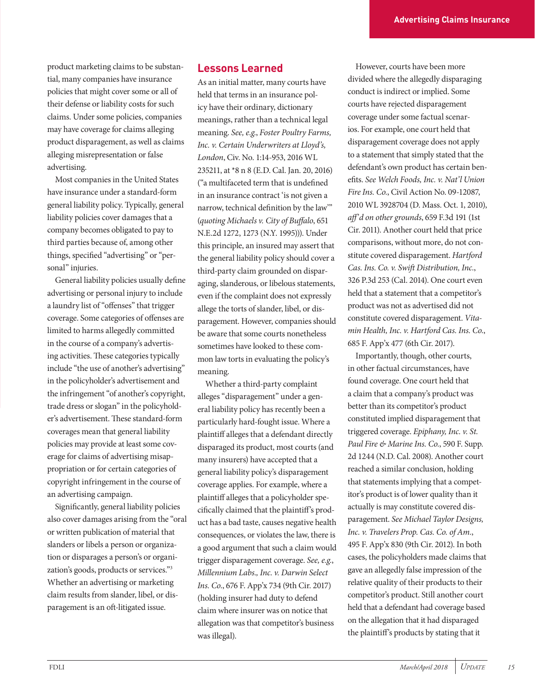product marketing claims to be substantial, many companies have insurance policies that might cover some or all of their defense or liability costs for such claims. Under some policies, companies may have coverage for claims alleging product disparagement, as well as claims alleging misrepresentation or false advertising.

Most companies in the United States have insurance under a standard-form general liability policy. Typically, general liability policies cover damages that a company becomes obligated to pay to third parties because of, among other things, specified "advertising" or "personal" injuries.

General liability policies usually define advertising or personal injury to include a laundry list of "offenses" that trigger coverage. Some categories of offenses are limited to harms allegedly committed in the course of a company's advertising activities. These categories typically include "the use of another's advertising" in the policyholder's advertisement and the infringement "of another's copyright, trade dress or slogan" in the policyholder's advertisement. These standard-form coverages mean that general liability policies may provide at least some coverage for claims of advertising misappropriation or for certain categories of copyright infringement in the course of an advertising campaign.

Significantly, general liability policies also cover damages arising from the "oral or written publication of material that slanders or libels a person or organization or disparages a person's or organization's goods, products or services."3 Whether an advertising or marketing claim results from slander, libel, or disparagement is an oft-litigated issue.

### **Lessons Learned**

As an initial matter, many courts have held that terms in an insurance policy have their ordinary, dictionary meanings, rather than a technical legal meaning. *See, e.g.*, *Foster Poultry Farms, Inc. v. Certain Underwriters at Lloyd's, London*, Civ. No. 1:14-953, 2016 WL 235211, at \*8 n 8 (E.D. Cal. Jan. 20, 2016) ("a multifaceted term that is undefined in an insurance contract 'is not given a narrow, technical definition by the law'" (*quoting Michaels v. City of Buffalo*, 651 N.E.2d 1272, 1273 (N.Y. 1995))). Under this principle, an insured may assert that the general liability policy should cover a third-party claim grounded on disparaging, slanderous, or libelous statements, even if the complaint does not expressly allege the torts of slander, libel, or disparagement. However, companies should be aware that some courts nonetheless sometimes have looked to these common law torts in evaluating the policy's meaning.

Whether a third-party complaint alleges "disparagement" under a general liability policy has recently been a particularly hard-fought issue. Where a plaintiff alleges that a defendant directly disparaged its product, most courts (and many insurers) have accepted that a general liability policy's disparagement coverage applies. For example, where a plaintiff alleges that a policyholder specifically claimed that the plaintiff's product has a bad taste, causes negative health consequences, or violates the law, there is a good argument that such a claim would trigger disparagement coverage. *See, e.g.*, *Millennium Labs., Inc. v. Darwin Select Ins. Co.*, 676 F. App'x 734 (9th Cir. 2017) (holding insurer had duty to defend claim where insurer was on notice that allegation was that competitor's business was illegal).

However, courts have been more divided where the allegedly disparaging conduct is indirect or implied. Some courts have rejected disparagement coverage under some factual scenarios. For example, one court held that disparagement coverage does not apply to a statement that simply stated that the defendant's own product has certain benefits. *See Welch Foods, Inc. v. Nat'l Union Fire Ins. Co.*, Civil Action No. 09-12087, 2010 WL 3928704 (D. Mass. Oct. 1, 2010), *aff'd on other grounds*, 659 F.3d 191 (1st Cir. 2011). Another court held that price comparisons, without more, do not constitute covered disparagement. *Hartford Cas. Ins. Co. v. Swift Distribution, Inc.*, 326 P.3d 253 (Cal. 2014). One court even held that a statement that a competitor's product was not as advertised did not constitute covered disparagement. *Vitamin Health, Inc. v. Hartford Cas. Ins. Co.*, 685 F. App'x 477 (6th Cir. 2017).

Importantly, though, other courts, in other factual circumstances, have found coverage. One court held that a claim that a company's product was better than its competitor's product constituted implied disparagement that triggered coverage. *Epiphany, Inc. v. St. Paul Fire & Marine Ins. Co.*, 590 F. Supp. 2d 1244 (N.D. Cal. 2008). Another court reached a similar conclusion, holding that statements implying that a competitor's product is of lower quality than it actually is may constitute covered disparagement. *See Michael Taylor Designs, Inc. v. Travelers Prop. Cas. Co. of Am.*, 495 F. App'x 830 (9th Cir. 2012). In both cases, the policyholders made claims that gave an allegedly false impression of the relative quality of their products to their competitor's product. Still another court held that a defendant had coverage based on the allegation that it had disparaged the plaintiff's products by stating that it